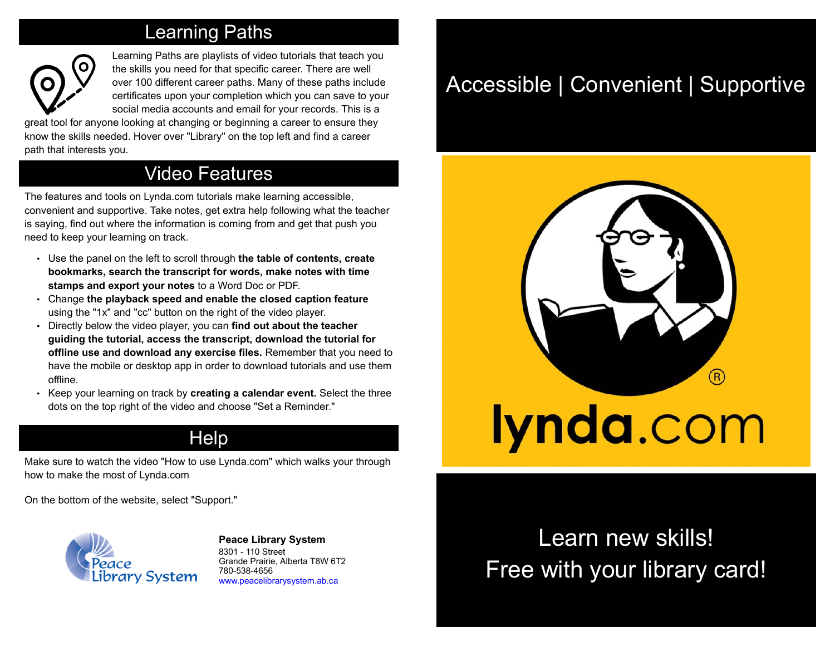## Learning Paths



Learning Paths are playlists of video tutorials that teach you the skills you need for that specific career. There are well over 100 different career paths. Many of these paths include certificates upon your completion which you can save to your social media accounts and email for your records. This is a

great tool for anyone looking at changing or beginning a career to ensure they know the skills needed. Hover over "Library" on the top left and find a career path that interests you.

## Video Features

The features and tools on Lynda.com tutorials make learning accessible, convenient and supportive. Take notes, get extra help following what the teacher is saying, find out where the information is coming from and get that push you need to keep your learning on track.

- Use the panel on the left to scroll through **the table of contents, create bookmarks, search the transcript for words, make notes with time stamps and export your notes** to a Word Doc or PDF.
- Change **the playback speed and enable the closed caption feature** using the "1x" and "cc" button on the right of the video player.
- Directly below the video player, you can **find out about the teacher guiding the tutorial, access the transcript, download the tutorial for offline use and download any exercise files.** Remember that you need to have the mobile or desktop app in order to download tutorials and use them offline.
- Keep your learning on track by **creating a calendar event.** Select the three dots on the top right of the video and choose "Set a Reminder."

## **Help**

Make sure to watch the video "How to use Lynda.com" which walks your through how to make the most of Lynda.com

On the bottom of the website, select "Support."



**[P](http://4la.co/1EKXY2)eace Library System** [8](http://4la.co/1EKXY2)301 - 110 Street Grande Prairie, Alberta T8W 6T2 780-538-4656 [www.peacelibrarysystem.ab.ca](http://4la.co/1EKXY2)

# Accessible | Convenient | Supportive



# Learn new skills! Free with your library card!